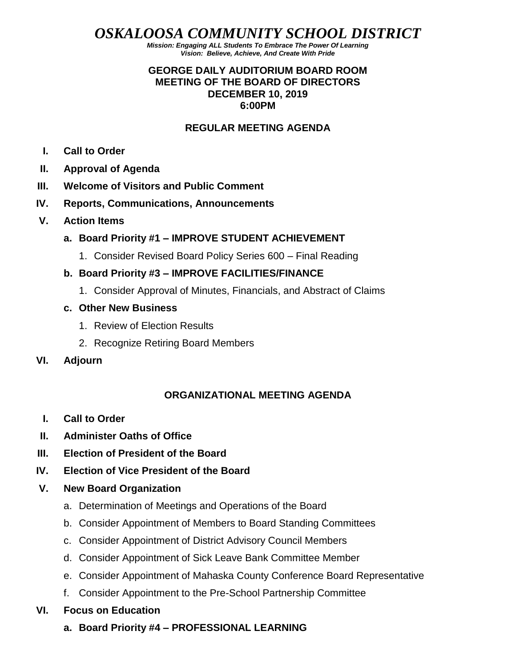*OSKALOOSA COMMUNITY SCHOOL DISTRICT*

*Mission: Engaging ALL Students To Embrace The Power Of Learning Vision: Believe, Achieve, And Create With Pride*

#### **GEORGE DAILY AUDITORIUM BOARD ROOM MEETING OF THE BOARD OF DIRECTORS DECEMBER 10, 2019 6:00PM**

#### **REGULAR MEETING AGENDA**

- **I. Call to Order**
- **II. Approval of Agenda**
- **III. Welcome of Visitors and Public Comment**
- **IV. Reports, Communications, Announcements**
- **V. Action Items**
	- **a. Board Priority #1 – IMPROVE STUDENT ACHIEVEMENT**
		- 1. Consider Revised Board Policy Series 600 Final Reading
	- **b. Board Priority #3 – IMPROVE FACILITIES/FINANCE**
		- 1. Consider Approval of Minutes, Financials, and Abstract of Claims
	- **c. Other New Business**
		- 1. Review of Election Results
		- 2. Recognize Retiring Board Members
- **VI. Adjourn**

## **ORGANIZATIONAL MEETING AGENDA**

- **I. Call to Order**
- **II. Administer Oaths of Office**
- **III. Election of President of the Board**
- **IV. Election of Vice President of the Board**
- **V. New Board Organization**
	- a. Determination of Meetings and Operations of the Board
	- b. Consider Appointment of Members to Board Standing Committees
	- c. Consider Appointment of District Advisory Council Members
	- d. Consider Appointment of Sick Leave Bank Committee Member
	- e. Consider Appointment of Mahaska County Conference Board Representative
	- f. Consider Appointment to the Pre-School Partnership Committee
- **VI. Focus on Education**
	- **a. Board Priority #4 – PROFESSIONAL LEARNING**